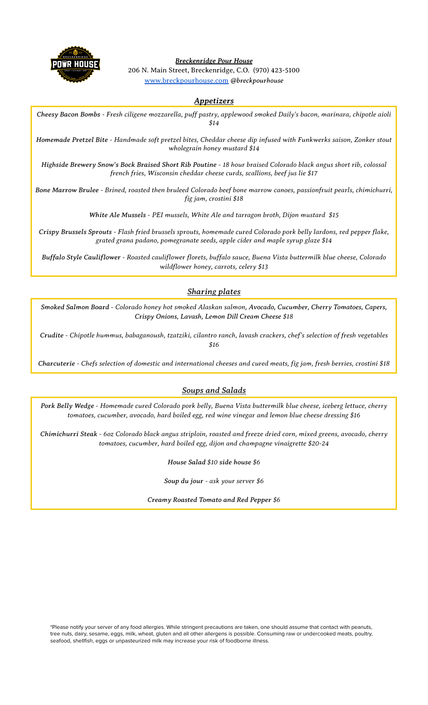

*Breckenridge Pour House* 206 N. Main Street, Breckenridge, C.O. (970) 423-5100 [www.breckpourhouse.com](http://www.breckpourhouse.com) *@breckpourhouse*

# *Appetizers*

Cheesy Bacon Bombs - Fresh ciligene mozzarella, puff pastry, applewood smoked Daily's bacon, marinara, chipotle aioli *\$14*

Homemade Pretzel Bite - Handmade soft pretzel bites, Cheddar cheese dip infused with Funkwerks saison, Zonker stout *wholegrain honey mustard \$14*

Highside Brewery Snow's Bock Braised Short Rib Poutine - 18 hour braised Colorado black angus short rib, colossal *french fries, Wisconsin cheddar cheese curds, scallions, beef jus lie \$17*

Bone Marrow Brulee - Brined, roasted then bruleed Colorado beef bone marrow canoes, passionfruit pearls, chimichurri, *fig jam, crostini \$18*

*White Ale Mussels - PEI mussels, White Ale and tarragon broth, Dijon mustard \$15*

Crispy Brussels Sprouts - Flash fried brussels sprouts, homemade cured Colorado pork belly lardons, red pepper flake, *grated grana padano, pomegranate seeds, apple cider and maple syrup glaze \$14*

*Buffalo Style Cauliflower - Roasted cauliflower florets, buffalo sauce, Buena Vista buttermilk blue cheese, Colorado wildflower honey, carrots, celery \$13*

# *Sharing plates*

*Smoked Salmon Board - Colorado honey hot smoked Alaskan salmon, Avocado, Cucumber, Cherry Tomatoes, Capers, Crispy Onions, Lavash, Lemon Dill Cream Cheese \$18*

*Crudite - Chipotle hummus, babaganoush, tzatziki, cilantro ranch, lavash crackers, chef's selection of fresh vegetables \$16*

Charcuterie - Chefs selection of domestic and international cheeses and cured meats, fig jam, fresh berries, crostini \$18

### *Soups and Salads*

Pork Belly Wedge - Homemade cured Colorado pork belly, Buena Vista buttermilk blue cheese, iceberg lettuce, cherry *tomatoes, cucumber, avocado, hard boiled egg, red wine vinegar and lemon blue cheese dressing \$16*

Chimichurri Steak - 60z Colorado black angus striploin, roasted and freeze dried corn, mixed greens, avocado, cherry *tomatoes, cucumber, hard boiled egg, dijon and champagne vinaigrette \$20-24*

*House Salad \$10 side house \$6*

*Soup du jour - ask your server \$6*

*Creamy Roasted Tomato and Red Pepper \$6*

\*Please notify your server of any food allergies. While stringent precautions are taken, one should assume that contact with peanuts, tree nuts, dairy, sesame, eggs, milk, wheat, gluten and all other allergens is possible. Consuming raw or undercooked meats, poultry, seafood, shellfish, eggs or unpasteurized milk may increase your risk of foodborne illness.